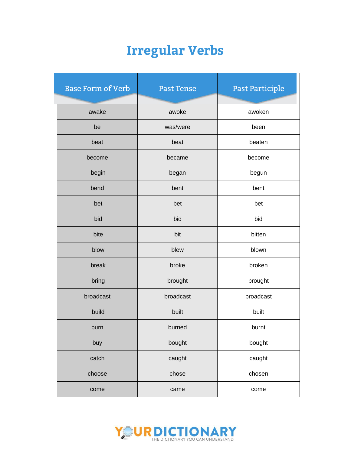| <b>Base Form of Verb</b> | <b>Past Tense</b> | Past Participle |  |
|--------------------------|-------------------|-----------------|--|
|                          |                   |                 |  |
| awake                    | awoke             | awoken          |  |
| be                       | was/were          | been            |  |
| beat                     | beat              | beaten          |  |
| become                   | became            | become          |  |
| begin                    | began             | begun           |  |
| bend                     | bent              | bent            |  |
| bet                      | bet               | bet             |  |
| bid                      | bid               | bid             |  |
| bite                     | bit               | bitten          |  |
| blow                     | blew              | blown           |  |
| break                    | broke             | broken          |  |
| bring                    | brought           | brought         |  |
| broadcast                | broadcast         | broadcast       |  |
| build                    | built             | built           |  |
| burn                     | burned            | burnt           |  |
| buy                      | bought            | bought          |  |
| catch                    | caught            | caught          |  |
| choose                   | chose             | chosen          |  |
| come                     | came              | come            |  |

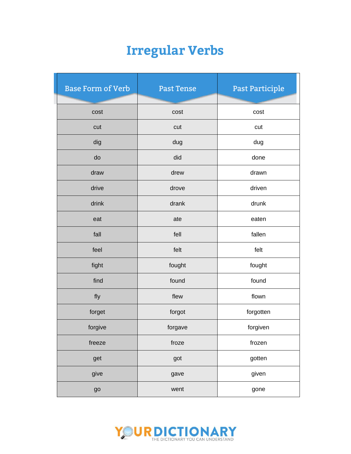| <b>Base Form of Verb</b> | <b>Past Tense</b> | Past Participle |
|--------------------------|-------------------|-----------------|
|                          |                   |                 |
| cost                     | cost              | cost            |
| cut                      | cut               | cut             |
| dig                      | dug               | dug             |
| do                       | did               | done            |
| draw                     | drew              | drawn           |
| drive                    | drove             | driven          |
| drink                    | drank             | drunk           |
| eat                      | ate               | eaten           |
| fall                     | fell              | fallen          |
| feel                     | felt              | felt            |
| fight                    | fought            | fought          |
| find                     | found             | found           |
| fly                      | flew              | flown           |
| forget                   | forgot            | forgotten       |
| forgive                  | forgave           | forgiven        |
| freeze                   | froze             | frozen          |
| get                      | got               | gotten          |
| give                     | gave              | given           |
| go                       | went              | gone            |

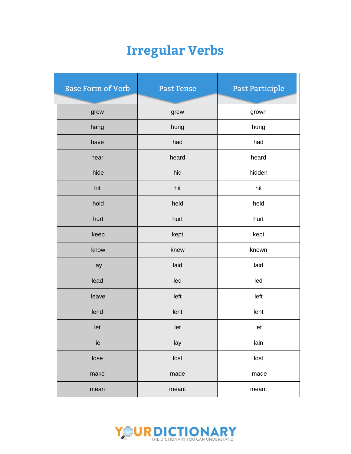| <b>Base Form of Verb</b> | <b>Past Tense</b> | Past Participle |
|--------------------------|-------------------|-----------------|
| grow                     | grew              | grown           |
| hang                     | hung              | hung            |
| have                     | had               | had             |
| hear                     | heard             | heard           |
| hide                     | hid               | hidden          |
| hit                      | hit               | hit             |
| hold                     | held              | held            |
| hurt                     | hurt              | hurt            |
| keep                     | kept              | kept            |
| know                     | knew              | known           |
| lay                      | laid              | laid            |
| lead                     | led               | led             |
| leave                    | left              | left            |
| lend                     | lent              | lent            |
| let                      | let               | let             |
| lie                      | lay               | lain            |
| lose                     | lost              | lost            |
| make                     | made              | made            |
| mean                     | meant             | meant           |

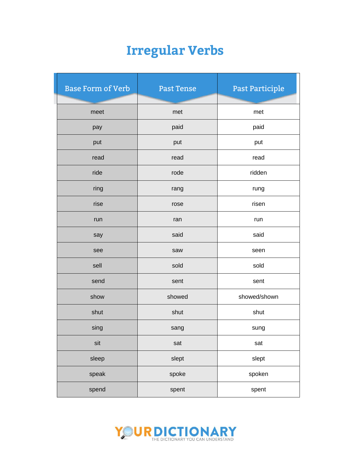| <b>Base Form of Verb</b> | <b>Past Tense</b> | Past Participle |
|--------------------------|-------------------|-----------------|
|                          |                   |                 |
| meet                     | met               | met             |
| pay                      | paid              | paid            |
| put                      | put               | put             |
| read                     | read              | read            |
| ride                     | rode              | ridden          |
| ring                     | rang              | rung            |
| rise                     | rose              | risen           |
| run                      | ran               | run             |
| say                      | said              | said            |
| see                      | saw               | seen            |
| sell                     | sold              | sold            |
| send                     | sent              | sent            |
| show                     | showed            | showed/shown    |
| shut                     | shut              | shut            |
| sing                     | sang              | sung            |
| sit                      | sat               | sat             |
| sleep                    | slept             | slept           |
| speak                    | spoke             | spoken          |
| spend                    | spent             | spent           |